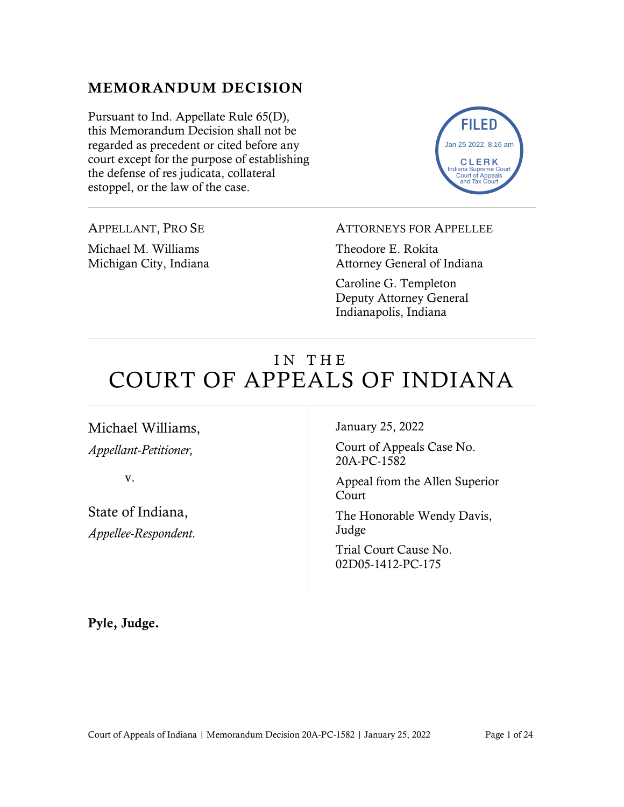## MEMORANDUM DECISION

Pursuant to Ind. Appellate Rule 65(D), this Memorandum Decision shall not be regarded as precedent or cited before any court except for the purpose of establishing the defense of res judicata, collateral estoppel, or the law of the case.

FILED CLERK Indiana Supreme Court Court of Appeals and Tax Court Jan 25 2022, 8:16 am

APPELLANT, PRO SE

Michael M. Williams Michigan City, Indiana ATTORNEYS FOR APPELLEE

Theodore E. Rokita Attorney General of Indiana

Caroline G. Templeton Deputy Attorney General Indianapolis, Indiana

# IN THE COURT OF APPEALS OF INDIANA

Michael Williams, *Appellant-Petitioner,*

v.

State of Indiana, *Appellee-Respondent.* January 25, 2022

Court of Appeals Case No. 20A-PC-1582

Appeal from the Allen Superior Court

The Honorable Wendy Davis, Judge

Trial Court Cause No. 02D05-1412-PC-175

Pyle, Judge.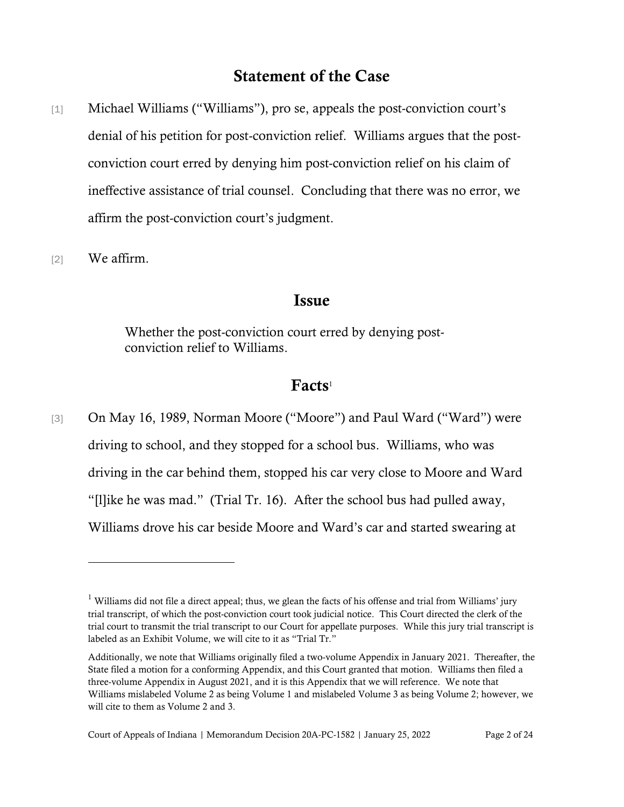## Statement of the Case

- [1] Michael Williams ("Williams"), pro se, appeals the post-conviction court's denial of his petition for post-conviction relief. Williams argues that the postconviction court erred by denying him post-conviction relief on his claim of ineffective assistance of trial counsel. Concluding that there was no error, we affirm the post-conviction court's judgment.
- [2] We affirm.

#### Issue

Whether the post-conviction court erred by denying postconviction relief to Williams.

#### $Facts<sup>1</sup>$

[3] On May 16, 1989, Norman Moore ("Moore") and Paul Ward ("Ward") were driving to school, and they stopped for a school bus. Williams, who was driving in the car behind them, stopped his car very close to Moore and Ward "[l]ike he was mad." (Trial Tr. 16). After the school bus had pulled away, Williams drove his car beside Moore and Ward's car and started swearing at

<sup>&</sup>lt;sup>1</sup> Williams did not file a direct appeal; thus, we glean the facts of his offense and trial from Williams' jury trial transcript, of which the post-conviction court took judicial notice. This Court directed the clerk of the trial court to transmit the trial transcript to our Court for appellate purposes. While this jury trial transcript is labeled as an Exhibit Volume, we will cite to it as "Trial Tr."

Additionally, we note that Williams originally filed a two-volume Appendix in January 2021. Thereafter, the State filed a motion for a conforming Appendix, and this Court granted that motion. Williams then filed a three-volume Appendix in August 2021, and it is this Appendix that we will reference. We note that Williams mislabeled Volume 2 as being Volume 1 and mislabeled Volume 3 as being Volume 2; however, we will cite to them as Volume 2 and 3.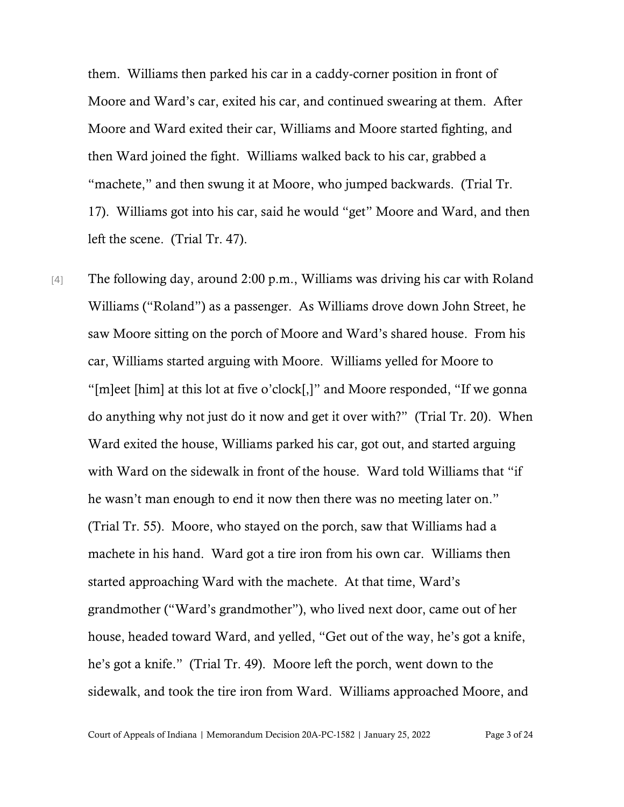them. Williams then parked his car in a caddy-corner position in front of Moore and Ward's car, exited his car, and continued swearing at them. After Moore and Ward exited their car, Williams and Moore started fighting, and then Ward joined the fight. Williams walked back to his car, grabbed a "machete," and then swung it at Moore, who jumped backwards. (Trial Tr. 17). Williams got into his car, said he would "get" Moore and Ward, and then left the scene. (Trial Tr. 47).

[4] The following day, around 2:00 p.m., Williams was driving his car with Roland Williams ("Roland") as a passenger. As Williams drove down John Street, he saw Moore sitting on the porch of Moore and Ward's shared house. From his car, Williams started arguing with Moore. Williams yelled for Moore to "[m]eet [him] at this lot at five o'clock[,]" and Moore responded, "If we gonna do anything why not just do it now and get it over with?" (Trial Tr. 20). When Ward exited the house, Williams parked his car, got out, and started arguing with Ward on the sidewalk in front of the house. Ward told Williams that "if he wasn't man enough to end it now then there was no meeting later on." (Trial Tr. 55). Moore, who stayed on the porch, saw that Williams had a machete in his hand. Ward got a tire iron from his own car. Williams then started approaching Ward with the machete. At that time, Ward's grandmother ("Ward's grandmother"), who lived next door, came out of her house, headed toward Ward, and yelled, "Get out of the way, he's got a knife, he's got a knife." (Trial Tr. 49). Moore left the porch, went down to the sidewalk, and took the tire iron from Ward. Williams approached Moore, and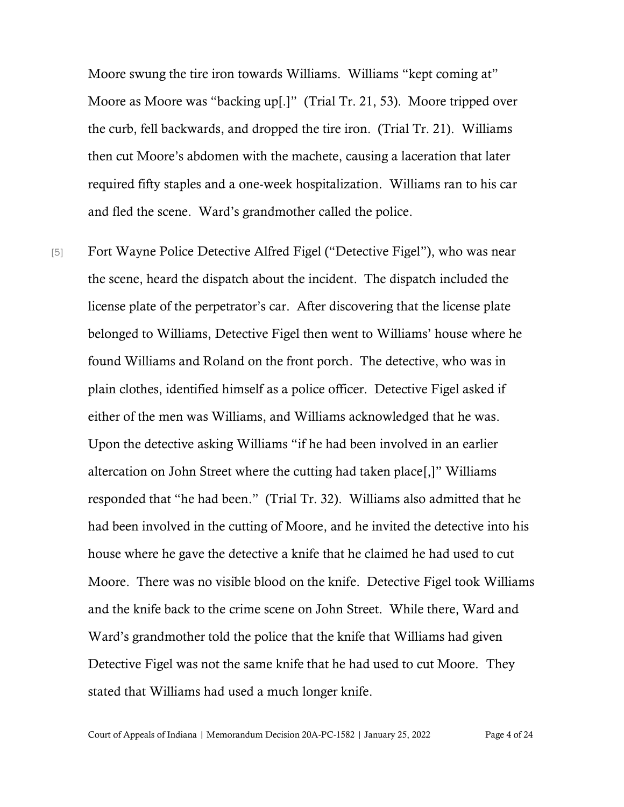Moore swung the tire iron towards Williams. Williams "kept coming at" Moore as Moore was "backing up[.]" (Trial Tr. 21, 53). Moore tripped over the curb, fell backwards, and dropped the tire iron. (Trial Tr. 21). Williams then cut Moore's abdomen with the machete, causing a laceration that later required fifty staples and a one-week hospitalization. Williams ran to his car and fled the scene. Ward's grandmother called the police.

[5] Fort Wayne Police Detective Alfred Figel ("Detective Figel"), who was near the scene, heard the dispatch about the incident. The dispatch included the license plate of the perpetrator's car. After discovering that the license plate belonged to Williams, Detective Figel then went to Williams' house where he found Williams and Roland on the front porch. The detective, who was in plain clothes, identified himself as a police officer. Detective Figel asked if either of the men was Williams, and Williams acknowledged that he was. Upon the detective asking Williams "if he had been involved in an earlier altercation on John Street where the cutting had taken place[,]" Williams responded that "he had been." (Trial Tr. 32). Williams also admitted that he had been involved in the cutting of Moore, and he invited the detective into his house where he gave the detective a knife that he claimed he had used to cut Moore. There was no visible blood on the knife. Detective Figel took Williams and the knife back to the crime scene on John Street. While there, Ward and Ward's grandmother told the police that the knife that Williams had given Detective Figel was not the same knife that he had used to cut Moore. They stated that Williams had used a much longer knife.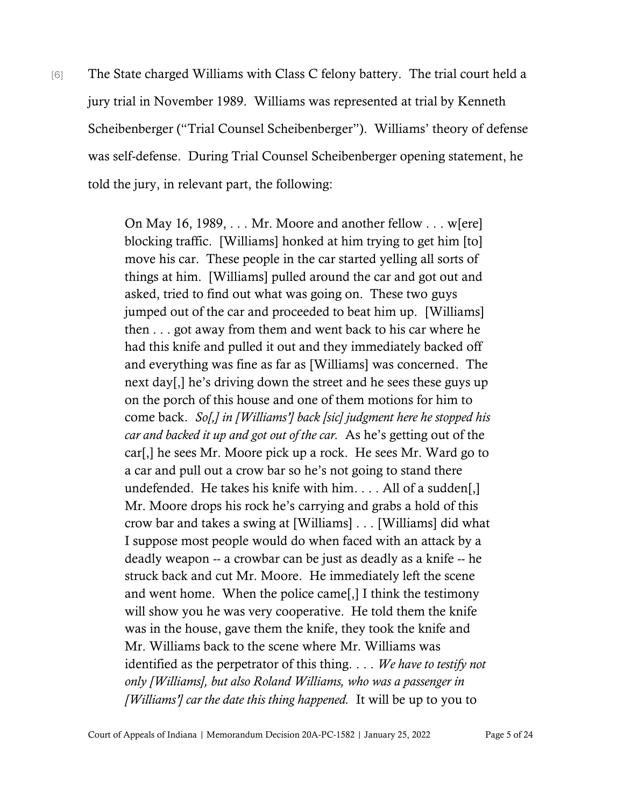[6] The State charged Williams with Class C felony battery. The trial court held a jury trial in November 1989. Williams was represented at trial by Kenneth Scheibenberger ("Trial Counsel Scheibenberger"). Williams' theory of defense was self-defense. During Trial Counsel Scheibenberger opening statement, he told the jury, in relevant part, the following:

> On May 16, 1989, . . . Mr. Moore and another fellow . . . w[ere] blocking traffic. [Williams] honked at him trying to get him [to] move his car. These people in the car started yelling all sorts of things at him. [Williams] pulled around the car and got out and asked, tried to find out what was going on. These two guys jumped out of the car and proceeded to beat him up. [Williams] then . . . got away from them and went back to his car where he had this knife and pulled it out and they immediately backed off and everything was fine as far as [Williams] was concerned. The next day[,] he's driving down the street and he sees these guys up on the porch of this house and one of them motions for him to come back. *So[,] in [Williams'] back [sic] judgment here he stopped his car and backed it up and got out of the car.* As he's getting out of the car[,] he sees Mr. Moore pick up a rock. He sees Mr. Ward go to a car and pull out a crow bar so he's not going to stand there undefended. He takes his knife with him. . . . All of a sudden[,] Mr. Moore drops his rock he's carrying and grabs a hold of this crow bar and takes a swing at [Williams] . . . [Williams] did what I suppose most people would do when faced with an attack by a deadly weapon -- a crowbar can be just as deadly as a knife -- he struck back and cut Mr. Moore. He immediately left the scene and went home. When the police came[,] I think the testimony will show you he was very cooperative. He told them the knife was in the house, gave them the knife, they took the knife and Mr. Williams back to the scene where Mr. Williams was identified as the perpetrator of this thing. . . . *We have to testify not only [Williams], but also Roland Williams, who was a passenger in [Williams'] car the date this thing happened.* It will be up to you to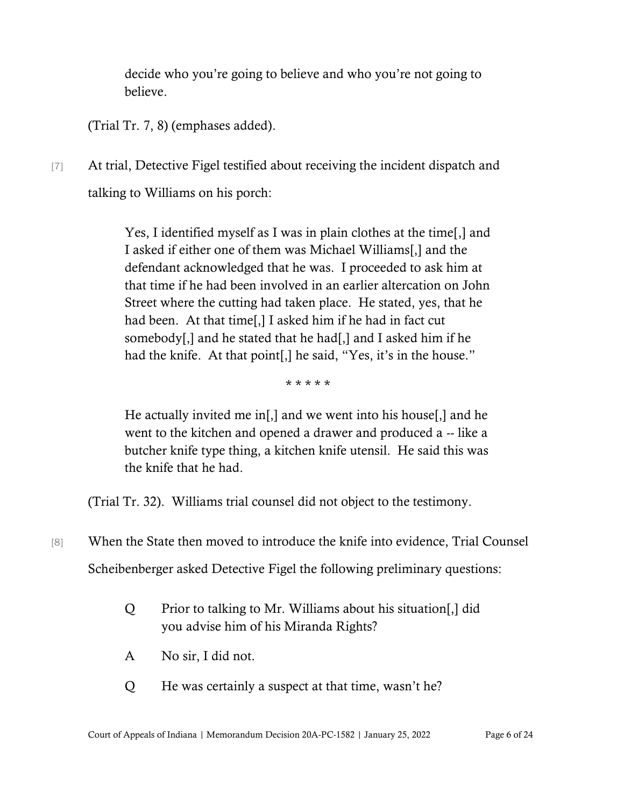decide who you're going to believe and who you're not going to believe.

(Trial Tr. 7, 8) (emphases added).

[7] At trial, Detective Figel testified about receiving the incident dispatch and talking to Williams on his porch:

> Yes, I identified myself as I was in plain clothes at the time[,] and I asked if either one of them was Michael Williams[,] and the defendant acknowledged that he was. I proceeded to ask him at that time if he had been involved in an earlier altercation on John Street where the cutting had taken place. He stated, yes, that he had been. At that time[,] I asked him if he had in fact cut somebody[,] and he stated that he had[,] and I asked him if he had the knife. At that point[,] he said, "Yes, it's in the house."

> > \* \* \* \* \*

He actually invited me in[,] and we went into his house[,] and he went to the kitchen and opened a drawer and produced a -- like a butcher knife type thing, a kitchen knife utensil. He said this was the knife that he had.

(Trial Tr. 32). Williams trial counsel did not object to the testimony.

- [8] When the State then moved to introduce the knife into evidence, Trial Counsel Scheibenberger asked Detective Figel the following preliminary questions:
	- Q Prior to talking to Mr. Williams about his situation[,] did you advise him of his Miranda Rights?
	- A No sir, I did not.
	- Q He was certainly a suspect at that time, wasn't he?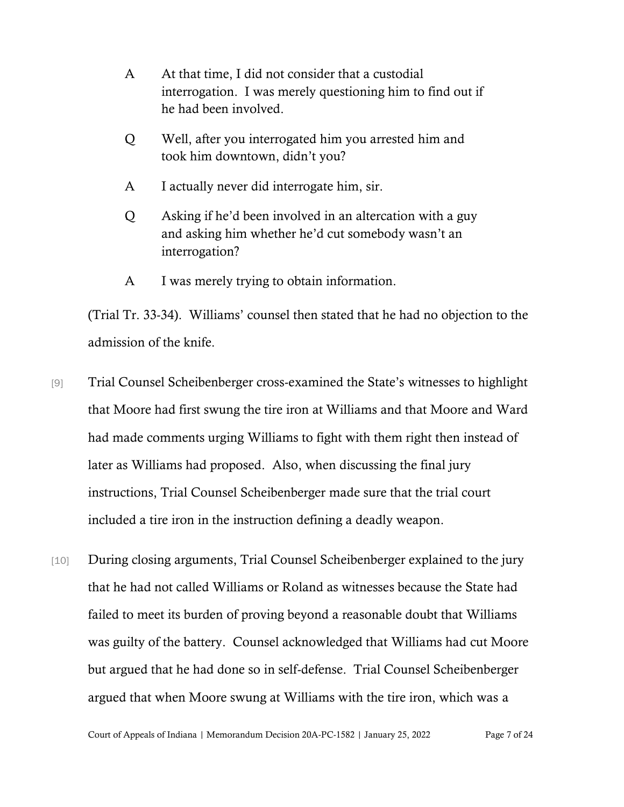- A At that time, I did not consider that a custodial interrogation. I was merely questioning him to find out if he had been involved.
- Q Well, after you interrogated him you arrested him and took him downtown, didn't you?
- A I actually never did interrogate him, sir.
- Q Asking if he'd been involved in an altercation with a guy and asking him whether he'd cut somebody wasn't an interrogation?
- A I was merely trying to obtain information.

(Trial Tr. 33-34). Williams' counsel then stated that he had no objection to the admission of the knife.

- [9] Trial Counsel Scheibenberger cross-examined the State's witnesses to highlight that Moore had first swung the tire iron at Williams and that Moore and Ward had made comments urging Williams to fight with them right then instead of later as Williams had proposed. Also, when discussing the final jury instructions, Trial Counsel Scheibenberger made sure that the trial court included a tire iron in the instruction defining a deadly weapon.
- [10] During closing arguments, Trial Counsel Scheibenberger explained to the jury that he had not called Williams or Roland as witnesses because the State had failed to meet its burden of proving beyond a reasonable doubt that Williams was guilty of the battery. Counsel acknowledged that Williams had cut Moore but argued that he had done so in self-defense. Trial Counsel Scheibenberger argued that when Moore swung at Williams with the tire iron, which was a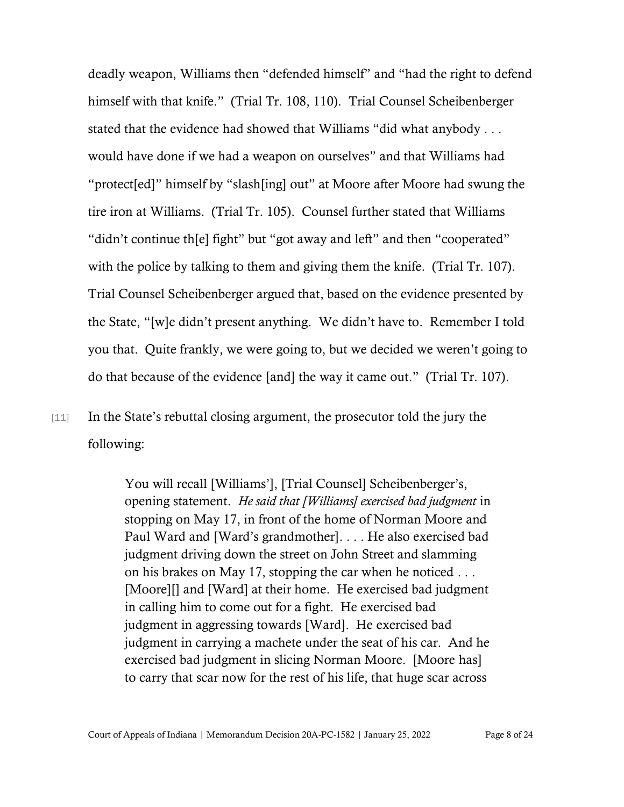deadly weapon, Williams then "defended himself" and "had the right to defend himself with that knife." (Trial Tr. 108, 110). Trial Counsel Scheibenberger stated that the evidence had showed that Williams "did what anybody . . . would have done if we had a weapon on ourselves" and that Williams had "protect[ed]" himself by "slash[ing] out" at Moore after Moore had swung the tire iron at Williams. (Trial Tr. 105). Counsel further stated that Williams "didn't continue th[e] fight" but "got away and left" and then "cooperated" with the police by talking to them and giving them the knife. (Trial Tr. 107). Trial Counsel Scheibenberger argued that, based on the evidence presented by the State, "[w]e didn't present anything. We didn't have to. Remember I told you that. Quite frankly, we were going to, but we decided we weren't going to do that because of the evidence [and] the way it came out." (Trial Tr. 107).

[11] In the State's rebuttal closing argument, the prosecutor told the jury the following:

> You will recall [Williams'], [Trial Counsel] Scheibenberger's, opening statement. *He said that [Williams] exercised bad judgment* in stopping on May 17, in front of the home of Norman Moore and Paul Ward and [Ward's grandmother]. . . . He also exercised bad judgment driving down the street on John Street and slamming on his brakes on May 17, stopping the car when he noticed . . . [Moore][] and [Ward] at their home. He exercised bad judgment in calling him to come out for a fight. He exercised bad judgment in aggressing towards [Ward]. He exercised bad judgment in carrying a machete under the seat of his car. And he exercised bad judgment in slicing Norman Moore. [Moore has] to carry that scar now for the rest of his life, that huge scar across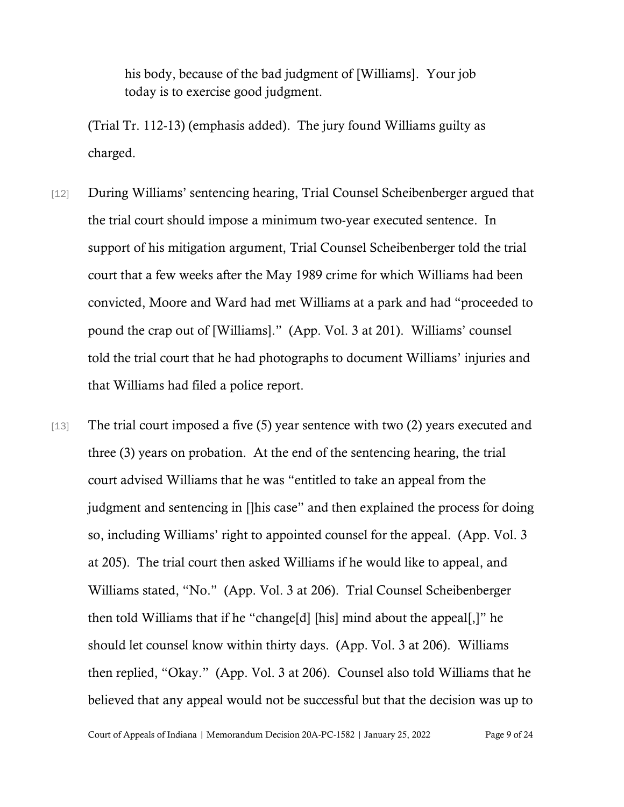his body, because of the bad judgment of [Williams]. Your job today is to exercise good judgment.

(Trial Tr. 112-13) (emphasis added). The jury found Williams guilty as charged.

- [12] During Williams' sentencing hearing, Trial Counsel Scheibenberger argued that the trial court should impose a minimum two-year executed sentence. In support of his mitigation argument, Trial Counsel Scheibenberger told the trial court that a few weeks after the May 1989 crime for which Williams had been convicted, Moore and Ward had met Williams at a park and had "proceeded to pound the crap out of [Williams]." (App. Vol. 3 at 201). Williams' counsel told the trial court that he had photographs to document Williams' injuries and that Williams had filed a police report.
- [13] The trial court imposed a five (5) year sentence with two (2) years executed and three (3) years on probation. At the end of the sentencing hearing, the trial court advised Williams that he was "entitled to take an appeal from the judgment and sentencing in []his case" and then explained the process for doing so, including Williams' right to appointed counsel for the appeal. (App. Vol. 3 at 205). The trial court then asked Williams if he would like to appeal, and Williams stated, "No." (App. Vol. 3 at 206). Trial Counsel Scheibenberger then told Williams that if he "change[d] [his] mind about the appeal[,]" he should let counsel know within thirty days. (App. Vol. 3 at 206). Williams then replied, "Okay." (App. Vol. 3 at 206). Counsel also told Williams that he believed that any appeal would not be successful but that the decision was up to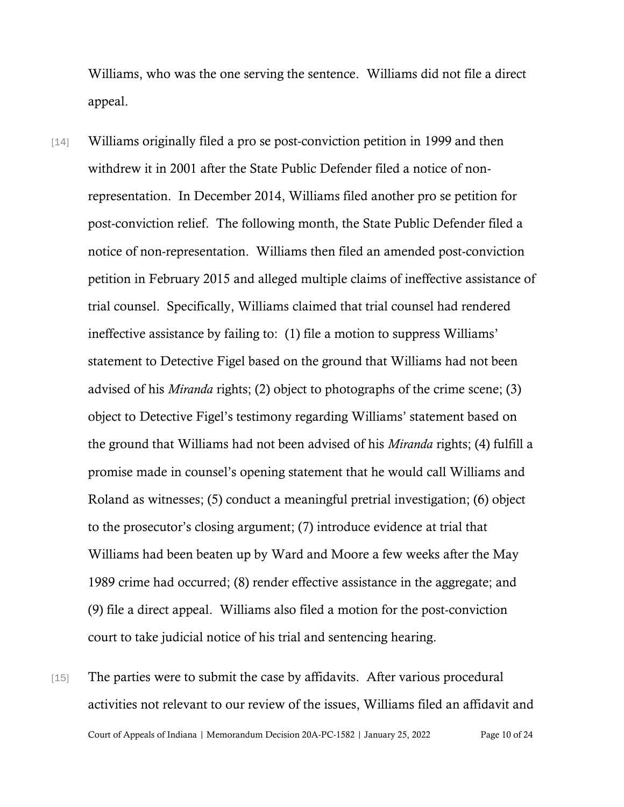Williams, who was the one serving the sentence. Williams did not file a direct appeal.

- [14] Williams originally filed a pro se post-conviction petition in 1999 and then withdrew it in 2001 after the State Public Defender filed a notice of nonrepresentation. In December 2014, Williams filed another pro se petition for post-conviction relief. The following month, the State Public Defender filed a notice of non-representation. Williams then filed an amended post-conviction petition in February 2015 and alleged multiple claims of ineffective assistance of trial counsel. Specifically, Williams claimed that trial counsel had rendered ineffective assistance by failing to: (1) file a motion to suppress Williams' statement to Detective Figel based on the ground that Williams had not been advised of his *Miranda* rights; (2) object to photographs of the crime scene; (3) object to Detective Figel's testimony regarding Williams' statement based on the ground that Williams had not been advised of his *Miranda* rights; (4) fulfill a promise made in counsel's opening statement that he would call Williams and Roland as witnesses; (5) conduct a meaningful pretrial investigation; (6) object to the prosecutor's closing argument; (7) introduce evidence at trial that Williams had been beaten up by Ward and Moore a few weeks after the May 1989 crime had occurred; (8) render effective assistance in the aggregate; and (9) file a direct appeal. Williams also filed a motion for the post-conviction court to take judicial notice of his trial and sentencing hearing.
- Court of Appeals of Indiana | Memorandum Decision 20A-PC-1582 | January 25, 2022 Page 10 of 24 [15] The parties were to submit the case by affidavits. After various procedural activities not relevant to our review of the issues, Williams filed an affidavit and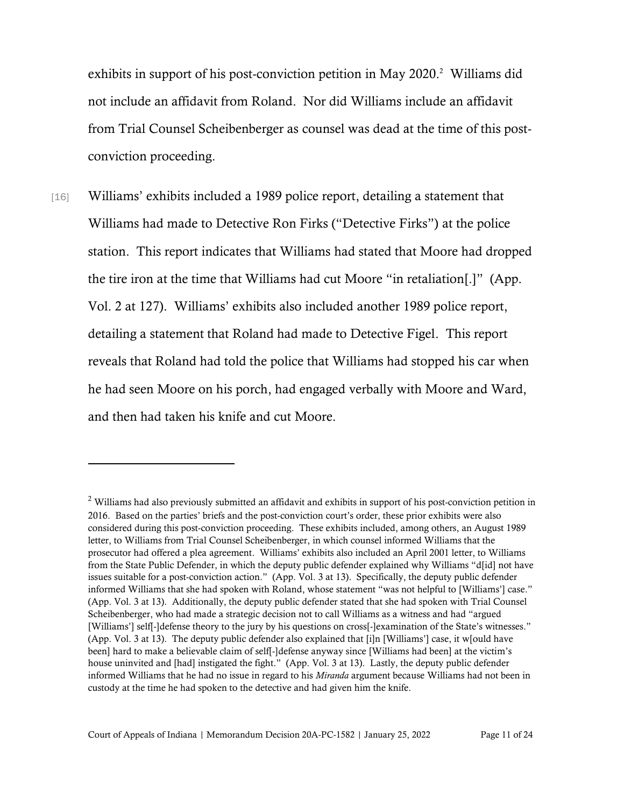exhibits in support of his post-conviction petition in May 2020. <sup>2</sup> Williams did not include an affidavit from Roland. Nor did Williams include an affidavit from Trial Counsel Scheibenberger as counsel was dead at the time of this postconviction proceeding.

[16] Williams' exhibits included a 1989 police report, detailing a statement that Williams had made to Detective Ron Firks ("Detective Firks") at the police station. This report indicates that Williams had stated that Moore had dropped the tire iron at the time that Williams had cut Moore "in retaliation[.]" (App. Vol. 2 at 127). Williams' exhibits also included another 1989 police report, detailing a statement that Roland had made to Detective Figel. This report reveals that Roland had told the police that Williams had stopped his car when he had seen Moore on his porch, had engaged verbally with Moore and Ward, and then had taken his knife and cut Moore.

<sup>&</sup>lt;sup>2</sup> Williams had also previously submitted an affidavit and exhibits in support of his post-conviction petition in 2016. Based on the parties' briefs and the post-conviction court's order, these prior exhibits were also considered during this post-conviction proceeding. These exhibits included, among others, an August 1989 letter, to Williams from Trial Counsel Scheibenberger, in which counsel informed Williams that the prosecutor had offered a plea agreement. Williams' exhibits also included an April 2001 letter, to Williams from the State Public Defender, in which the deputy public defender explained why Williams "d[id] not have issues suitable for a post-conviction action." (App. Vol. 3 at 13). Specifically, the deputy public defender informed Williams that she had spoken with Roland, whose statement "was not helpful to [Williams'] case." (App. Vol. 3 at 13). Additionally, the deputy public defender stated that she had spoken with Trial Counsel Scheibenberger, who had made a strategic decision not to call Williams as a witness and had "argued [Williams'] self-]defense theory to the jury by his questions on cross[-]examination of the State's witnesses." (App. Vol. 3 at 13). The deputy public defender also explained that [i]n [Williams'] case, it w[ould have been] hard to make a believable claim of self[-]defense anyway since [Williams had been] at the victim's house uninvited and [had] instigated the fight." (App. Vol. 3 at 13). Lastly, the deputy public defender informed Williams that he had no issue in regard to his *Miranda* argument because Williams had not been in custody at the time he had spoken to the detective and had given him the knife.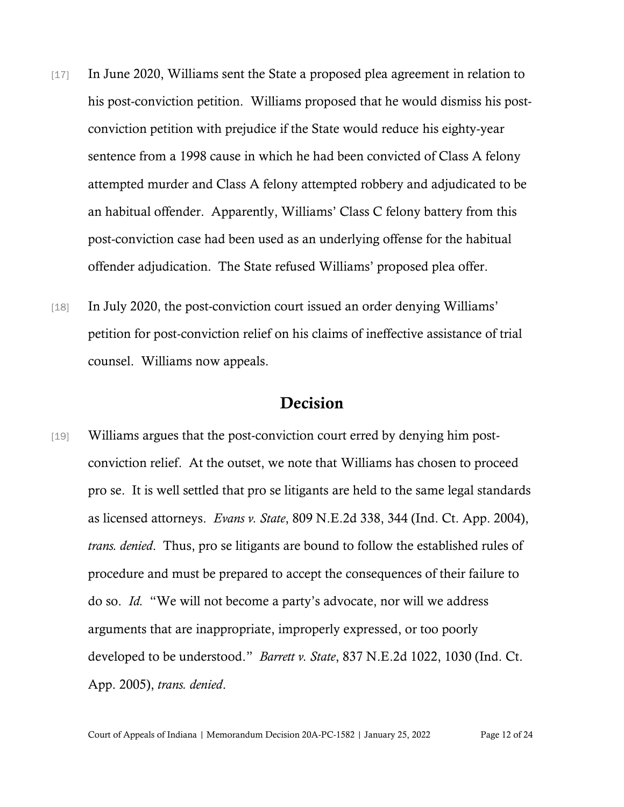- [17] In June 2020, Williams sent the State a proposed plea agreement in relation to his post-conviction petition. Williams proposed that he would dismiss his postconviction petition with prejudice if the State would reduce his eighty-year sentence from a 1998 cause in which he had been convicted of Class A felony attempted murder and Class A felony attempted robbery and adjudicated to be an habitual offender. Apparently, Williams' Class C felony battery from this post-conviction case had been used as an underlying offense for the habitual offender adjudication. The State refused Williams' proposed plea offer.
- [18] In July 2020, the post-conviction court issued an order denying Williams' petition for post-conviction relief on his claims of ineffective assistance of trial counsel. Williams now appeals.

### Decision

[19] Williams argues that the post-conviction court erred by denying him postconviction relief. At the outset, we note that Williams has chosen to proceed pro se. It is well settled that pro se litigants are held to the same legal standards as licensed attorneys. *Evans v. State*, 809 N.E.2d 338, 344 (Ind. Ct. App. 2004), *trans. denied*. Thus, pro se litigants are bound to follow the established rules of procedure and must be prepared to accept the consequences of their failure to do so. *Id.* "We will not become a party's advocate, nor will we address arguments that are inappropriate, improperly expressed, or too poorly developed to be understood." *Barrett v. State*, 837 N.E.2d 1022, 1030 (Ind. Ct. App. 2005), *trans. denied*.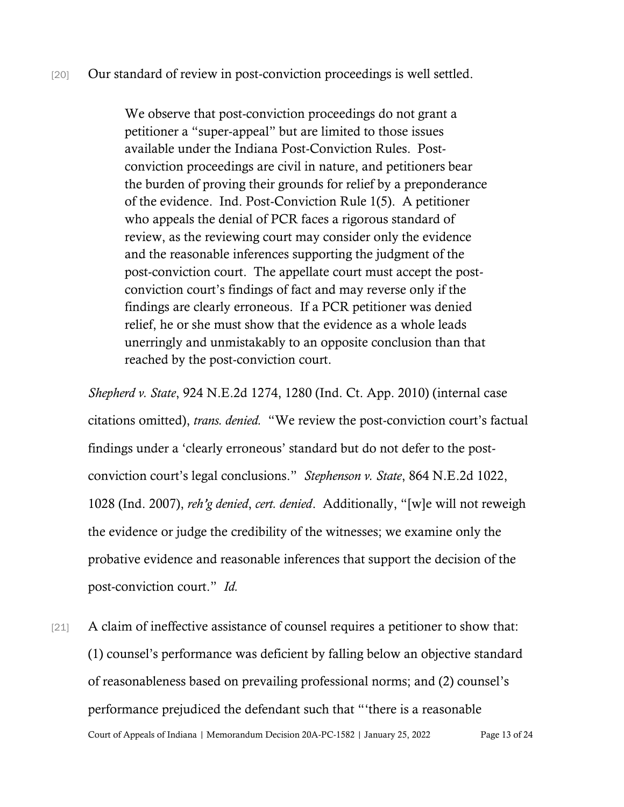We observe that post-conviction proceedings do not grant a petitioner a "super-appeal" but are limited to those issues available under the Indiana Post-Conviction Rules. Postconviction proceedings are civil in nature, and petitioners bear the burden of proving their grounds for relief by a preponderance of the evidence. Ind. Post-Conviction Rule 1(5). A petitioner who appeals the denial of PCR faces a rigorous standard of review, as the reviewing court may consider only the evidence and the reasonable inferences supporting the judgment of the post-conviction court. The appellate court must accept the postconviction court's findings of fact and may reverse only if the findings are clearly erroneous. If a PCR petitioner was denied relief, he or she must show that the evidence as a whole leads unerringly and unmistakably to an opposite conclusion than that reached by the post-conviction court.

*Shepherd v. State*, 924 N.E.2d 1274, 1280 (Ind. Ct. App. 2010) (internal case citations omitted), *trans. denied.* "We review the post-conviction court's factual findings under a 'clearly erroneous' standard but do not defer to the postconviction court's legal conclusions." *Stephenson v. State*, 864 N.E.2d 1022, 1028 (Ind. 2007), *reh'g denied*, *cert. denied*. Additionally, "[w]e will not reweigh the evidence or judge the credibility of the witnesses; we examine only the probative evidence and reasonable inferences that support the decision of the post-conviction court." *Id.*

Court of Appeals of Indiana | Memorandum Decision 20A-PC-1582 | January 25, 2022 Page 13 of 24 [21] A claim of ineffective assistance of counsel requires a petitioner to show that: (1) counsel's performance was deficient by falling below an objective standard of reasonableness based on prevailing professional norms; and (2) counsel's performance prejudiced the defendant such that "'there is a reasonable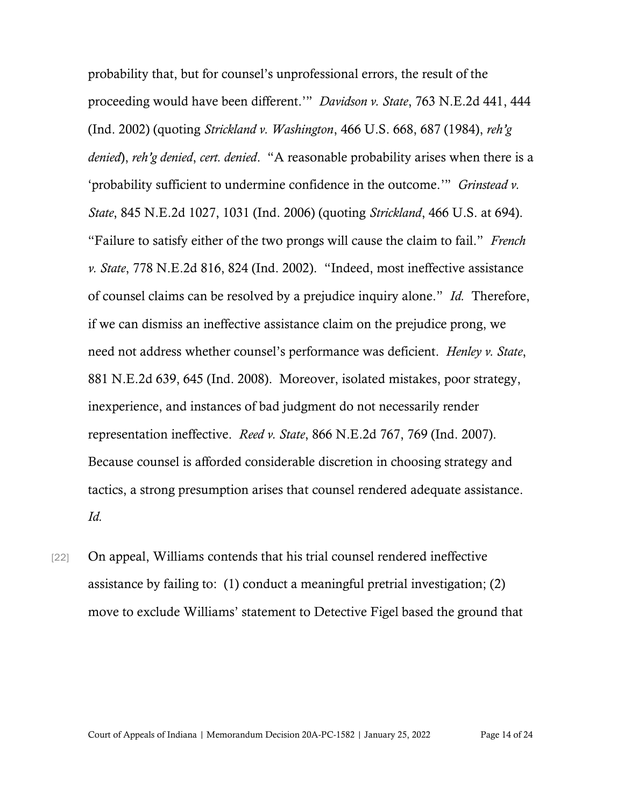probability that, but for counsel's unprofessional errors, the result of the proceeding would have been different.'" *Davidson v. State*, 763 N.E.2d 441, 444 (Ind. 2002) (quoting *Strickland v. Washington*, 466 U.S. 668, 687 (1984), *reh'g denied*), *reh'g denied*, *cert. denied*. "A reasonable probability arises when there is a 'probability sufficient to undermine confidence in the outcome.'" *Grinstead v. State*, 845 N.E.2d 1027, 1031 (Ind. 2006) (quoting *Strickland*, 466 U.S. at 694). "Failure to satisfy either of the two prongs will cause the claim to fail." *French v. State*, 778 N.E.2d 816, 824 (Ind. 2002). "Indeed, most ineffective assistance of counsel claims can be resolved by a prejudice inquiry alone." *Id.* Therefore, if we can dismiss an ineffective assistance claim on the prejudice prong, we need not address whether counsel's performance was deficient. *Henley v. State*, 881 N.E.2d 639, 645 (Ind. 2008). Moreover, isolated mistakes, poor strategy, inexperience, and instances of bad judgment do not necessarily render representation ineffective. *Reed v. State*, 866 N.E.2d 767, 769 (Ind. 2007). Because counsel is afforded considerable discretion in choosing strategy and tactics, a strong presumption arises that counsel rendered adequate assistance. *Id.*

[22] On appeal, Williams contends that his trial counsel rendered ineffective assistance by failing to: (1) conduct a meaningful pretrial investigation; (2) move to exclude Williams' statement to Detective Figel based the ground that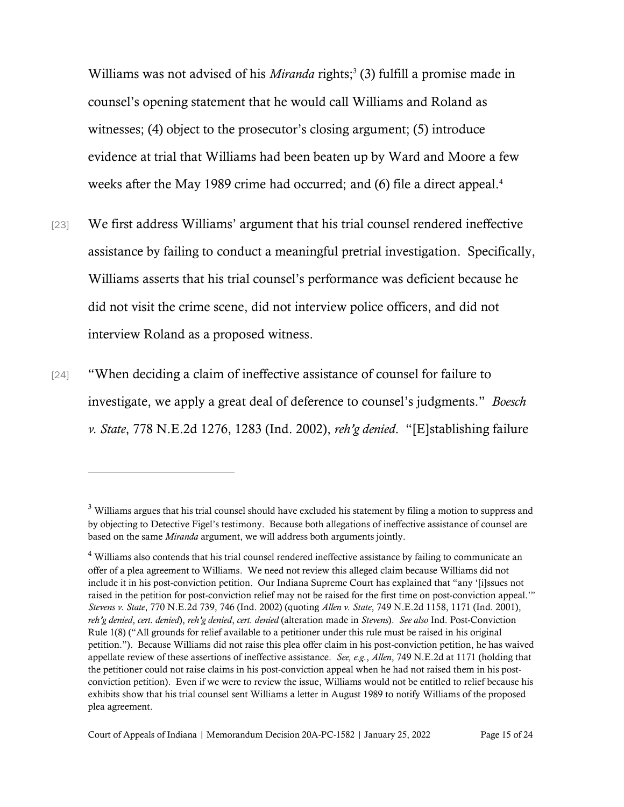Williams was not advised of his *Miranda* rights; 3 (3) fulfill a promise made in counsel's opening statement that he would call Williams and Roland as witnesses; (4) object to the prosecutor's closing argument; (5) introduce evidence at trial that Williams had been beaten up by Ward and Moore a few weeks after the May 1989 crime had occurred; and (6) file a direct appeal.<sup>4</sup>

- [23] We first address Williams' argument that his trial counsel rendered ineffective assistance by failing to conduct a meaningful pretrial investigation. Specifically, Williams asserts that his trial counsel's performance was deficient because he did not visit the crime scene, did not interview police officers, and did not interview Roland as a proposed witness.
- [24] "When deciding a claim of ineffective assistance of counsel for failure to investigate, we apply a great deal of deference to counsel's judgments." *Boesch v. State*, 778 N.E.2d 1276, 1283 (Ind. 2002), *reh'g denied*. "[E]stablishing failure

<sup>&</sup>lt;sup>3</sup> Williams argues that his trial counsel should have excluded his statement by filing a motion to suppress and by objecting to Detective Figel's testimony. Because both allegations of ineffective assistance of counsel are based on the same *Miranda* argument, we will address both arguments jointly.

<sup>&</sup>lt;sup>4</sup> Williams also contends that his trial counsel rendered ineffective assistance by failing to communicate an offer of a plea agreement to Williams. We need not review this alleged claim because Williams did not include it in his post-conviction petition. Our Indiana Supreme Court has explained that "any '[i]ssues not raised in the petition for post-conviction relief may not be raised for the first time on post-conviction appeal.'" *Stevens v. State*, 770 N.E.2d 739, 746 (Ind. 2002) (quoting *Allen v. State*, 749 N.E.2d 1158, 1171 (Ind. 2001), *reh'g denied*, *cert. denied*), *reh'g denied*, *cert. denied* (alteration made in *Stevens*). *See also* Ind. Post-Conviction Rule 1(8) ("All grounds for relief available to a petitioner under this rule must be raised in his original petition."). Because Williams did not raise this plea offer claim in his post-conviction petition, he has waived appellate review of these assertions of ineffective assistance. *See, e.g.*, *Allen*, 749 N.E.2d at 1171 (holding that the petitioner could not raise claims in his post-conviction appeal when he had not raised them in his postconviction petition). Even if we were to review the issue, Williams would not be entitled to relief because his exhibits show that his trial counsel sent Williams a letter in August 1989 to notify Williams of the proposed plea agreement.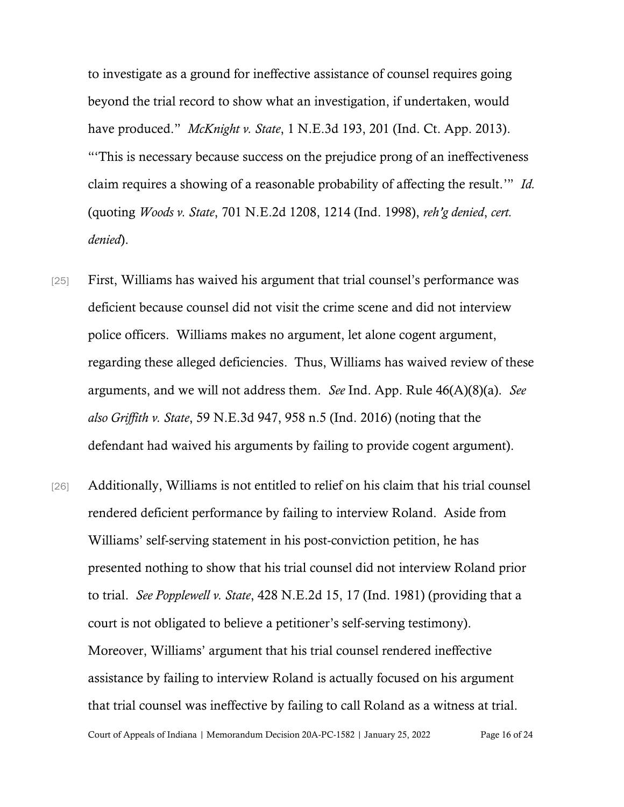to investigate as a ground for ineffective assistance of counsel requires going beyond the trial record to show what an investigation, if undertaken, would have produced." *McKnight v. State*, 1 N.E.3d 193, 201 (Ind. Ct. App. 2013). "'This is necessary because success on the prejudice prong of an ineffectiveness claim requires a showing of a reasonable probability of affecting the result.'" *Id.* (quoting *Woods v. State*, 701 N.E.2d 1208, 1214 (Ind. 1998), *reh'g denied*, *cert. denied*).

- [25] First, Williams has waived his argument that trial counsel's performance was deficient because counsel did not visit the crime scene and did not interview police officers. Williams makes no argument, let alone cogent argument, regarding these alleged deficiencies. Thus, Williams has waived review of these arguments, and we will not address them. *See* Ind. App. Rule 46(A)(8)(a). *See also Griffith v. State*, 59 N.E.3d 947, 958 n.5 (Ind. 2016) (noting that the defendant had waived his arguments by failing to provide cogent argument).
- Court of Appeals of Indiana | Memorandum Decision 20A-PC-1582 | January 25, 2022 Page 16 of 24 [26] Additionally, Williams is not entitled to relief on his claim that his trial counsel rendered deficient performance by failing to interview Roland. Aside from Williams' self-serving statement in his post-conviction petition, he has presented nothing to show that his trial counsel did not interview Roland prior to trial. *See Popplewell v. State*, 428 N.E.2d 15, 17 (Ind. 1981) (providing that a court is not obligated to believe a petitioner's self-serving testimony). Moreover, Williams' argument that his trial counsel rendered ineffective assistance by failing to interview Roland is actually focused on his argument that trial counsel was ineffective by failing to call Roland as a witness at trial.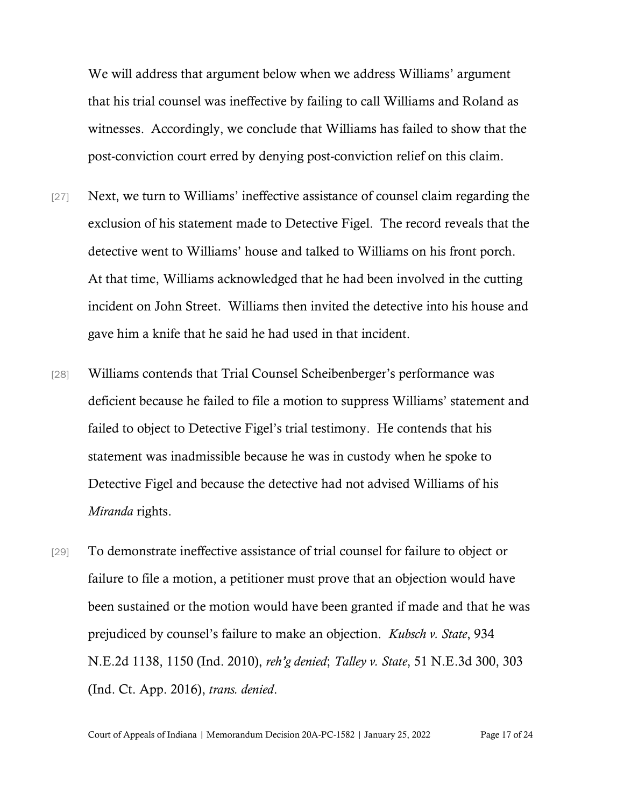We will address that argument below when we address Williams' argument that his trial counsel was ineffective by failing to call Williams and Roland as witnesses. Accordingly, we conclude that Williams has failed to show that the post-conviction court erred by denying post-conviction relief on this claim.

- [27] Next, we turn to Williams' ineffective assistance of counsel claim regarding the exclusion of his statement made to Detective Figel. The record reveals that the detective went to Williams' house and talked to Williams on his front porch. At that time, Williams acknowledged that he had been involved in the cutting incident on John Street. Williams then invited the detective into his house and gave him a knife that he said he had used in that incident.
- [28] Williams contends that Trial Counsel Scheibenberger's performance was deficient because he failed to file a motion to suppress Williams' statement and failed to object to Detective Figel's trial testimony. He contends that his statement was inadmissible because he was in custody when he spoke to Detective Figel and because the detective had not advised Williams of his *Miranda* rights.
- [29] To demonstrate ineffective assistance of trial counsel for failure to object or failure to file a motion, a petitioner must prove that an objection would have been sustained or the motion would have been granted if made and that he was prejudiced by counsel's failure to make an objection. *Kubsch v. State*, 934 N.E.2d 1138, 1150 (Ind. 2010), *reh'g denied*; *Talley v. State*, 51 N.E.3d 300, 303 (Ind. Ct. App. 2016), *trans. denied*.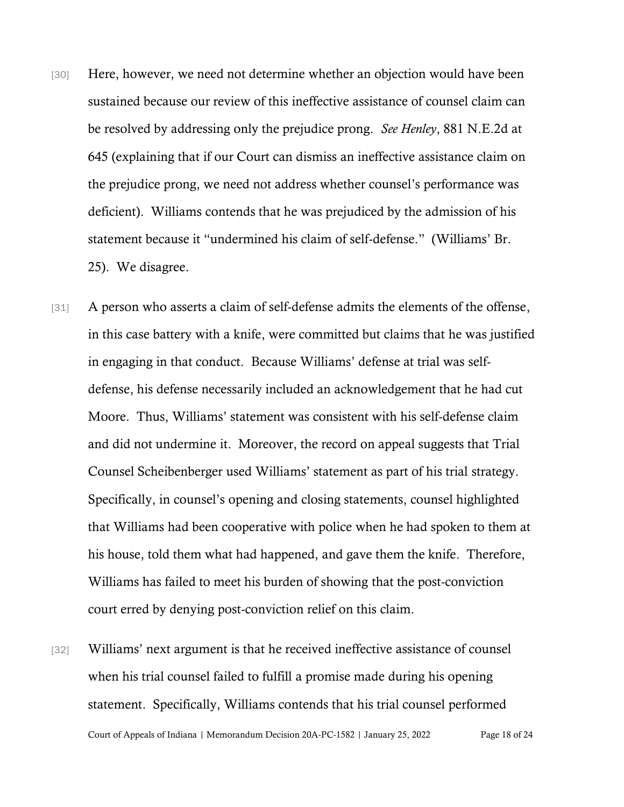- [30] Here, however, we need not determine whether an objection would have been sustained because our review of this ineffective assistance of counsel claim can be resolved by addressing only the prejudice prong. *See Henley*, 881 N.E.2d at 645 (explaining that if our Court can dismiss an ineffective assistance claim on the prejudice prong, we need not address whether counsel's performance was deficient). Williams contends that he was prejudiced by the admission of his statement because it "undermined his claim of self-defense." (Williams' Br. 25). We disagree.
- [31] A person who asserts a claim of self-defense admits the elements of the offense, in this case battery with a knife, were committed but claims that he was justified in engaging in that conduct. Because Williams' defense at trial was selfdefense, his defense necessarily included an acknowledgement that he had cut Moore. Thus, Williams' statement was consistent with his self-defense claim and did not undermine it. Moreover, the record on appeal suggests that Trial Counsel Scheibenberger used Williams' statement as part of his trial strategy. Specifically, in counsel's opening and closing statements, counsel highlighted that Williams had been cooperative with police when he had spoken to them at his house, told them what had happened, and gave them the knife. Therefore, Williams has failed to meet his burden of showing that the post-conviction court erred by denying post-conviction relief on this claim.
- Court of Appeals of Indiana | Memorandum Decision 20A-PC-1582 | January 25, 2022 Page 18 of 24 [32] Williams' next argument is that he received ineffective assistance of counsel when his trial counsel failed to fulfill a promise made during his opening statement. Specifically, Williams contends that his trial counsel performed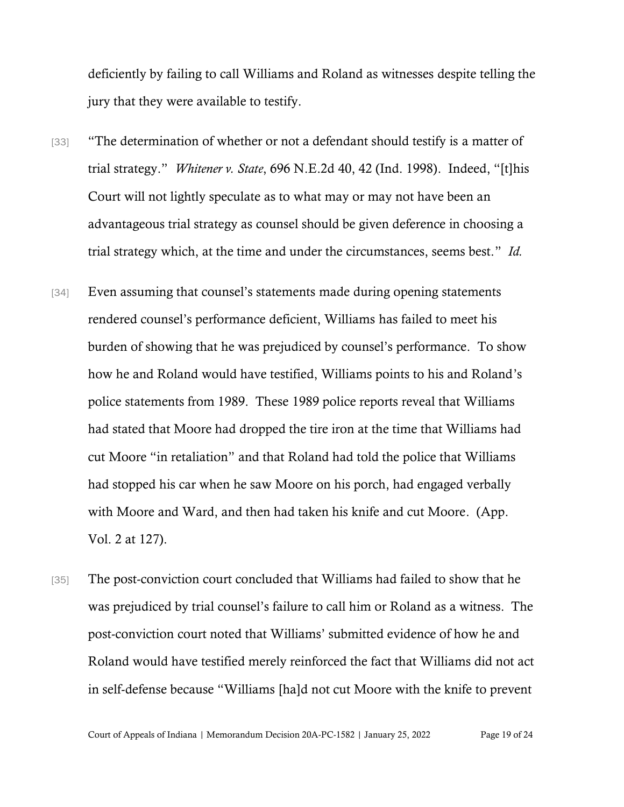deficiently by failing to call Williams and Roland as witnesses despite telling the jury that they were available to testify.

- [33] "The determination of whether or not a defendant should testify is a matter of trial strategy." *Whitener v. State*, 696 N.E.2d 40, 42 (Ind. 1998). Indeed, "[t]his Court will not lightly speculate as to what may or may not have been an advantageous trial strategy as counsel should be given deference in choosing a trial strategy which, at the time and under the circumstances, seems best." *Id.*
- [34] Even assuming that counsel's statements made during opening statements rendered counsel's performance deficient, Williams has failed to meet his burden of showing that he was prejudiced by counsel's performance. To show how he and Roland would have testified, Williams points to his and Roland's police statements from 1989. These 1989 police reports reveal that Williams had stated that Moore had dropped the tire iron at the time that Williams had cut Moore "in retaliation" and that Roland had told the police that Williams had stopped his car when he saw Moore on his porch, had engaged verbally with Moore and Ward, and then had taken his knife and cut Moore. (App. Vol. 2 at 127).
- [35] The post-conviction court concluded that Williams had failed to show that he was prejudiced by trial counsel's failure to call him or Roland as a witness. The post-conviction court noted that Williams' submitted evidence of how he and Roland would have testified merely reinforced the fact that Williams did not act in self-defense because "Williams [ha]d not cut Moore with the knife to prevent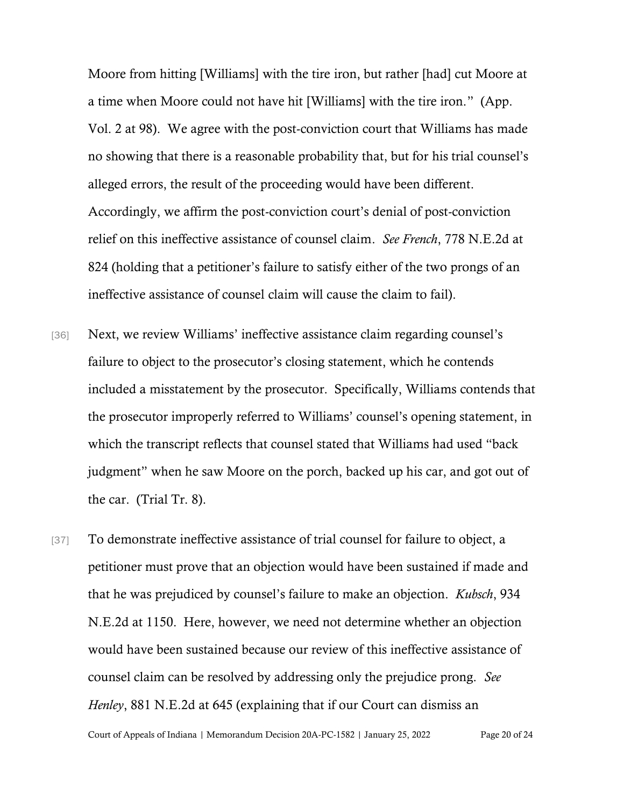Moore from hitting [Williams] with the tire iron, but rather [had] cut Moore at a time when Moore could not have hit [Williams] with the tire iron." (App. Vol. 2 at 98). We agree with the post-conviction court that Williams has made no showing that there is a reasonable probability that, but for his trial counsel's alleged errors, the result of the proceeding would have been different. Accordingly, we affirm the post-conviction court's denial of post-conviction relief on this ineffective assistance of counsel claim. *See French*, 778 N.E.2d at 824 (holding that a petitioner's failure to satisfy either of the two prongs of an ineffective assistance of counsel claim will cause the claim to fail).

- [36] Next, we review Williams' ineffective assistance claim regarding counsel's failure to object to the prosecutor's closing statement, which he contends included a misstatement by the prosecutor. Specifically, Williams contends that the prosecutor improperly referred to Williams' counsel's opening statement, in which the transcript reflects that counsel stated that Williams had used "back judgment" when he saw Moore on the porch, backed up his car, and got out of the car. (Trial Tr. 8).
- [37] To demonstrate ineffective assistance of trial counsel for failure to object, a petitioner must prove that an objection would have been sustained if made and that he was prejudiced by counsel's failure to make an objection. *Kubsch*, 934 N.E.2d at 1150. Here, however, we need not determine whether an objection would have been sustained because our review of this ineffective assistance of counsel claim can be resolved by addressing only the prejudice prong. *See Henley*, 881 N.E.2d at 645 (explaining that if our Court can dismiss an

Court of Appeals of Indiana | Memorandum Decision 20A-PC-1582 | January 25, 2022 Page 20 of 24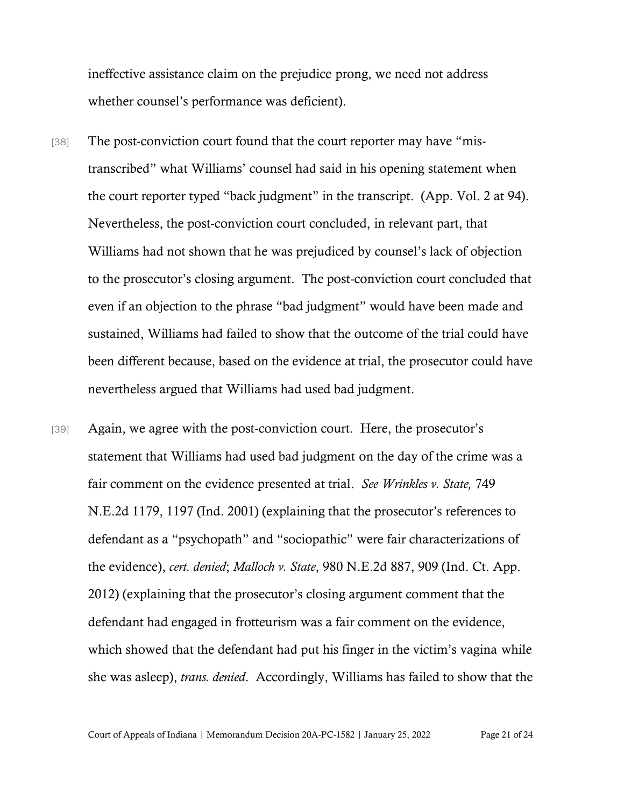ineffective assistance claim on the prejudice prong, we need not address whether counsel's performance was deficient).

- [38] The post-conviction court found that the court reporter may have "mistranscribed" what Williams' counsel had said in his opening statement when the court reporter typed "back judgment" in the transcript. (App. Vol. 2 at 94). Nevertheless, the post-conviction court concluded, in relevant part, that Williams had not shown that he was prejudiced by counsel's lack of objection to the prosecutor's closing argument. The post-conviction court concluded that even if an objection to the phrase "bad judgment" would have been made and sustained, Williams had failed to show that the outcome of the trial could have been different because, based on the evidence at trial, the prosecutor could have nevertheless argued that Williams had used bad judgment.
- [39] Again, we agree with the post-conviction court. Here, the prosecutor's statement that Williams had used bad judgment on the day of the crime was a fair comment on the evidence presented at trial. *See Wrinkles v. State,* 749 N.E.2d 1179, 1197 (Ind. 2001) (explaining that the prosecutor's references to defendant as a "psychopath" and "sociopathic" were fair characterizations of the evidence), *cert. denied*; *Malloch v. State*, 980 N.E.2d 887, 909 (Ind. Ct. App. 2012) (explaining that the prosecutor's closing argument comment that the defendant had engaged in frotteurism was a fair comment on the evidence, which showed that the defendant had put his finger in the victim's vagina while she was asleep), *trans. denied*. Accordingly, Williams has failed to show that the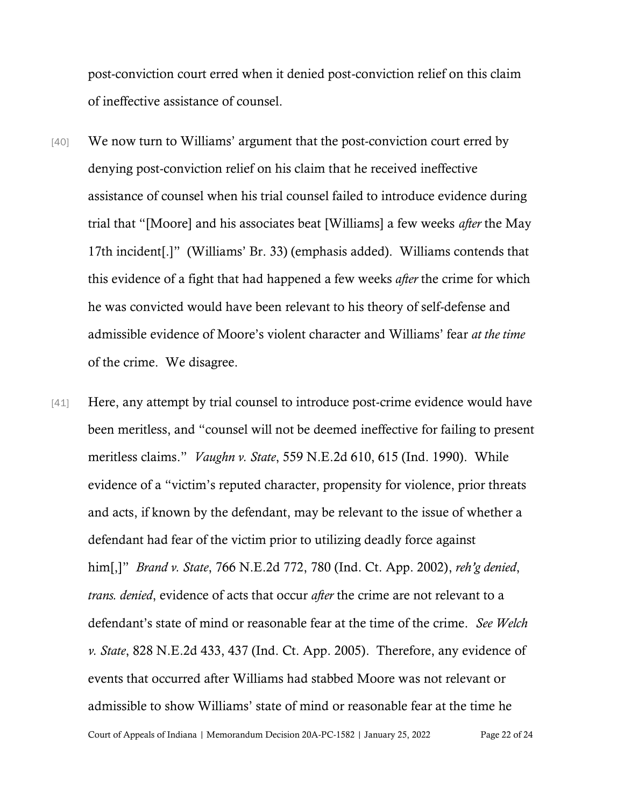post-conviction court erred when it denied post-conviction relief on this claim of ineffective assistance of counsel.

- [40] We now turn to Williams' argument that the post-conviction court erred by denying post-conviction relief on his claim that he received ineffective assistance of counsel when his trial counsel failed to introduce evidence during trial that "[Moore] and his associates beat [Williams] a few weeks *after* the May 17th incident[.]" (Williams' Br. 33) (emphasis added). Williams contends that this evidence of a fight that had happened a few weeks *after* the crime for which he was convicted would have been relevant to his theory of self-defense and admissible evidence of Moore's violent character and Williams' fear *at the time* of the crime. We disagree.
- Court of Appeals of Indiana | Memorandum Decision 20A-PC-1582 | January 25, 2022 Page 22 of 24 [41] Here, any attempt by trial counsel to introduce post-crime evidence would have been meritless, and "counsel will not be deemed ineffective for failing to present meritless claims." *Vaughn v. State*, 559 N.E.2d 610, 615 (Ind. 1990). While evidence of a "victim's reputed character, propensity for violence, prior threats and acts, if known by the defendant, may be relevant to the issue of whether a defendant had fear of the victim prior to utilizing deadly force against him[,]" *Brand v. State*, 766 N.E.2d 772, 780 (Ind. Ct. App. 2002), *reh'g denied*, *trans. denied*, evidence of acts that occur *after* the crime are not relevant to a defendant's state of mind or reasonable fear at the time of the crime. *See Welch v. State*, 828 N.E.2d 433, 437 (Ind. Ct. App. 2005). Therefore, any evidence of events that occurred after Williams had stabbed Moore was not relevant or admissible to show Williams' state of mind or reasonable fear at the time he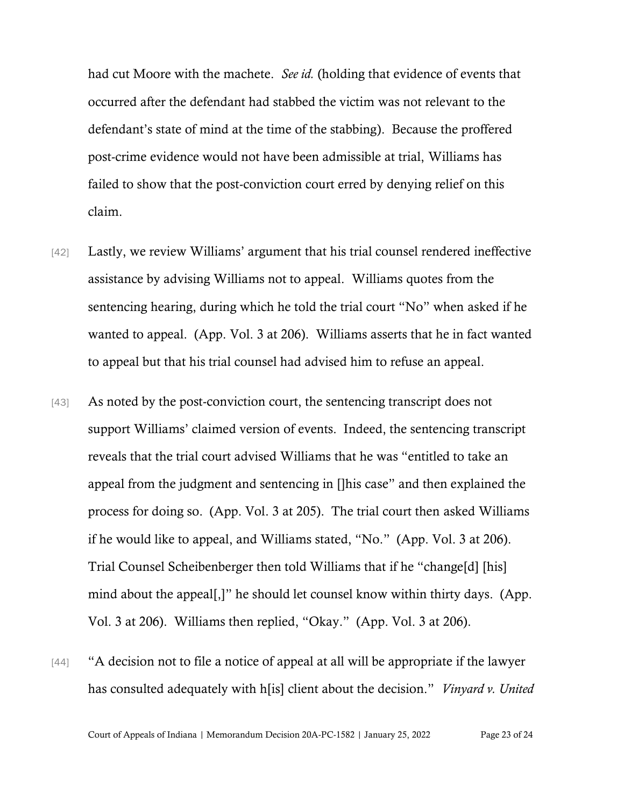had cut Moore with the machete. *See id.* (holding that evidence of events that occurred after the defendant had stabbed the victim was not relevant to the defendant's state of mind at the time of the stabbing). Because the proffered post-crime evidence would not have been admissible at trial, Williams has failed to show that the post-conviction court erred by denying relief on this claim.

- [42] Lastly, we review Williams' argument that his trial counsel rendered ineffective assistance by advising Williams not to appeal. Williams quotes from the sentencing hearing, during which he told the trial court "No" when asked if he wanted to appeal. (App. Vol. 3 at 206). Williams asserts that he in fact wanted to appeal but that his trial counsel had advised him to refuse an appeal.
- [43] As noted by the post-conviction court, the sentencing transcript does not support Williams' claimed version of events. Indeed, the sentencing transcript reveals that the trial court advised Williams that he was "entitled to take an appeal from the judgment and sentencing in []his case" and then explained the process for doing so. (App. Vol. 3 at 205). The trial court then asked Williams if he would like to appeal, and Williams stated, "No." (App. Vol. 3 at 206). Trial Counsel Scheibenberger then told Williams that if he "change[d] [his] mind about the appeal[,]" he should let counsel know within thirty days. (App. Vol. 3 at 206). Williams then replied, "Okay." (App. Vol. 3 at 206).
- [44] "A decision not to file a notice of appeal at all will be appropriate if the lawyer has consulted adequately with h[is] client about the decision." *Vinyard v. United*